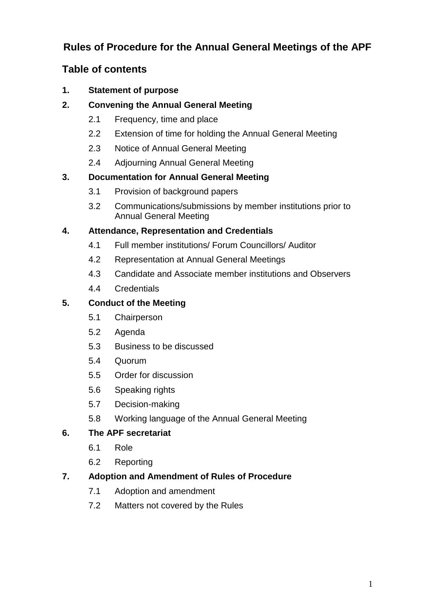# **Rules of Procedure for the Annual General Meetings of the APF**

# **Table of contents**

## **1. Statement of purpose**

## **2. Convening the Annual General Meeting**

- 2.1 Frequency, time and place
- 2.2 Extension of time for holding the Annual General Meeting
- 2.3 Notice of Annual General Meeting
- 2.4 Adjourning Annual General Meeting

### **3. Documentation for Annual General Meeting**

- 3.1 Provision of background papers
- 3.2 Communications/submissions by member institutions prior to Annual General Meeting

### **4. Attendance, Representation and Credentials**

- 4.1 Full member institutions/ Forum Councillors/ Auditor
- 4.2 Representation at Annual General Meetings
- 4.3 Candidate and Associate member institutions and Observers
- 4.4 Credentials

### **5. Conduct of the Meeting**

- 5.1 Chairperson
- 5.2 Agenda
- 5.3 Business to be discussed
- 5.4 Quorum
- 5.5 Order for discussion
- 5.6 Speaking rights
- 5.7 Decision-making
- 5.8 Working language of the Annual General Meeting

# **6. The APF secretariat**

- 6.1 Role
- 6.2 Reporting

#### **7. Adoption and Amendment of Rules of Procedure**

- 7.1 Adoption and amendment
- 7.2 Matters not covered by the Rules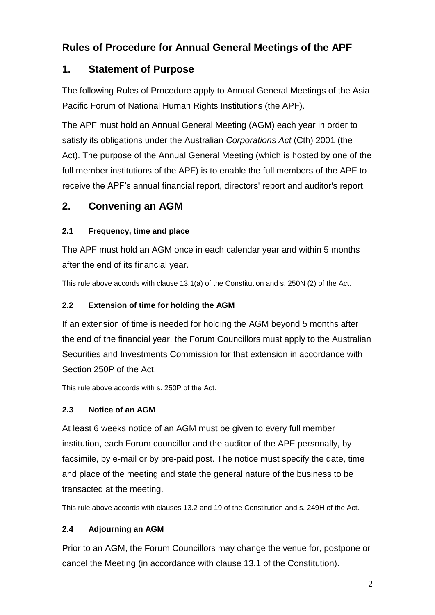# **Rules of Procedure for Annual General Meetings of the APF**

# **1. Statement of Purpose**

The following Rules of Procedure apply to Annual General Meetings of the Asia Pacific Forum of National Human Rights Institutions (the APF).

The APF must hold an Annual General Meeting (AGM) each year in order to satisfy its obligations under the Australian *Corporations Act* (Cth) 2001 (the Act). The purpose of the Annual General Meeting (which is hosted by one of the full member institutions of the APF) is to enable the full members of the APF to receive the APF's annual [financial report,](http://www.austlii.edu.au/au/legis/cth/consol_act/ca2001172/s9.html#financial_report) [directors'](http://www.austlii.edu.au/au/legis/cth/consol_act/ca2001172/s9.html#director) report and [auditor's](http://www.austlii.edu.au/au/legis/cth/consol_act/ca2001172/s9.html#audit) report.

# **2. Convening an AGM**

# **2.1 Frequency, time and place**

The APF must hold an AGM once in each calendar year and within 5 months after the end of its [financial year.](http://www.austlii.edu.au/au/legis/cth/consol_act/ca2001172/s9.html#financial_year)

This rule above accords with clause 13.1(a) of the Constitution and s. 250N (2) of the Act.

# **2.2 Extension of time for holding the AGM**

If an extension of time is needed for holding the AGM beyond 5 months after the end of the financial year, the Forum Councillors must apply to the Australian Securities and Investments Commission for that extension in accordance with Section 250P of the Act.

This rule above accords with s. 250P of the Act.

## **2.3 Notice of an AGM**

At least 6 weeks notice of an AGM must be given to every full member institution, each Forum councillor and the auditor of the APF personally, by facsimile, by e-mail or by pre-paid post. The notice must specify the date, time and place of the meeting and state the general nature of the business to be transacted at the meeting.

This rule above accords with clauses 13.2 and 19 of the Constitution and s. 249H of the Act.

# **2.4 Adjourning an AGM**

Prior to an AGM, the Forum Councillors may change the venue for, postpone or cancel the Meeting (in accordance with clause 13.1 of the Constitution).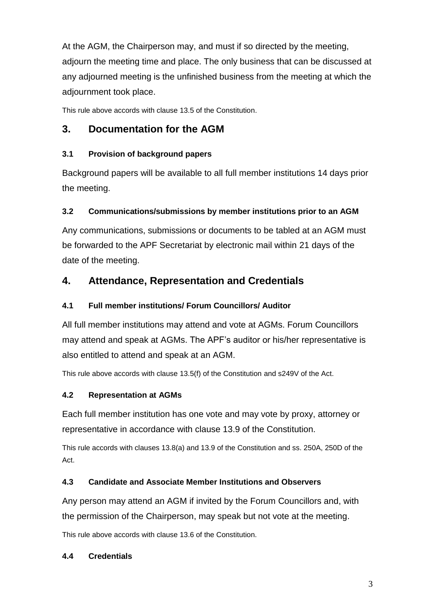At the AGM, the Chairperson may, and must if so directed by the meeting, adjourn the meeting time and place. The only business that can be discussed at any adjourned meeting is the unfinished business from the meeting at which the adjournment took place.

This rule above accords with clause 13.5 of the Constitution.

# **3. Documentation for the AGM**

#### **3.1 Provision of background papers**

Background papers will be available to all full member institutions 14 days prior the meeting.

### **3.2 Communications/submissions by member institutions prior to an AGM**

Any communications, submissions or documents to be tabled at an AGM must be forwarded to the APF Secretariat by electronic mail within 21 days of the date of the meeting.

# **4. Attendance, Representation and Credentials**

#### **4.1 Full member institutions/ Forum Councillors/ Auditor**

All full member institutions may attend and vote at AGMs. Forum Councillors may attend and speak at AGMs. The APF's auditor or his/her representative is also entitled to attend and speak at an AGM.

This rule above accords with clause 13.5(f) of the Constitution and s249V of the Act.

#### **4.2 Representation at AGMs**

Each full member institution has one vote and may vote by proxy, attorney or representative in accordance with clause 13.9 of the Constitution.

This rule accords with clauses 13.8(a) and 13.9 of the Constitution and ss. 250A, 250D of the Act.

#### **4.3 Candidate and Associate Member Institutions and Observers**

Any person may attend an AGM if invited by the Forum Councillors and, with the permission of the Chairperson, may speak but not vote at the meeting.

This rule above accords with clause 13.6 of the Constitution.

#### **4.4 Credentials**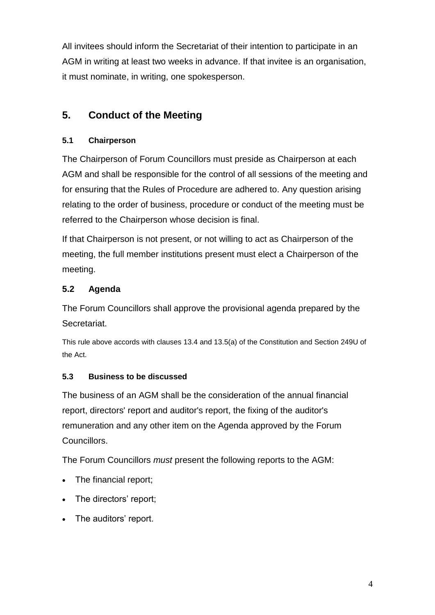All invitees should inform the Secretariat of their intention to participate in an AGM in writing at least two weeks in advance. If that invitee is an organisation, it must nominate, in writing, one spokesperson.

# **5. Conduct of the Meeting**

# **5.1 Chairperson**

The Chairperson of Forum Councillors must preside as Chairperson at each AGM and shall be responsible for the control of all sessions of the meeting and for ensuring that the Rules of Procedure are adhered to. Any question arising relating to the order of business, procedure or conduct of the meeting must be referred to the Chairperson whose decision is final.

If that Chairperson is not present, or not willing to act as Chairperson of the meeting, the full member institutions present must elect a Chairperson of the meeting.

# **5.2 Agenda**

The Forum Councillors shall approve the provisional agenda prepared by the Secretariat.

This rule above accords with clauses 13.4 and 13.5(a) of the Constitution and Section 249U of the Act.

## **5.3 Business to be discussed**

The business of an AGM shall be the consideration of the annual [financial](http://www.austlii.edu.au/au/legis/cth/consol_act/ca2001172/s9.html#financial_report)  [report,](http://www.austlii.edu.au/au/legis/cth/consol_act/ca2001172/s9.html#financial_report) [directors'](http://www.austlii.edu.au/au/legis/cth/consol_act/ca2001172/s9.html#director) report and [auditor's](http://www.austlii.edu.au/au/legis/cth/consol_act/ca2001172/s9.html#audit) report, the fixing of the [auditor's](http://www.austlii.edu.au/au/legis/cth/consol_act/ca2001172/s9.html#audit) [remuneration](http://www.austlii.edu.au/au/legis/cth/consol_act/ca2001172/s9.html#remuneration) and any other item on the Agenda approved by the Forum Councillors.

The Forum Councillors *must* present the following reports to the AGM:

- The financial report:
- The directors' report;
- The auditors' report.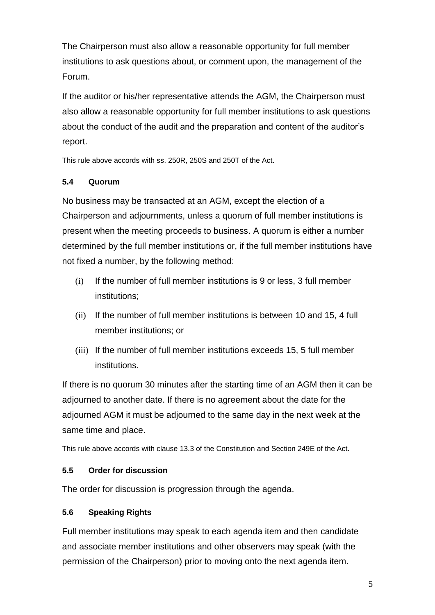The Chairperson must also allow a reasonable opportunity for full member institutions to ask questions about, or comment upon, the management of the Forum.

If the auditor or his/her representative attends the AGM, the Chairperson must also allow a reasonable opportunity for full member institutions to ask questions about the conduct of the audit and the preparation and content of the auditor's report.

This rule above accords with ss. 250R, 250S and 250T of the Act.

## **5.4 Quorum**

No business may be transacted at an AGM, except the election of a Chairperson and adjournments, unless a quorum of full member institutions is present when the meeting proceeds to business. A quorum is either a number determined by the full member institutions or, if the full member institutions have not fixed a number, by the following method:

- (i) If the number of full member institutions is 9 or less, 3 full member institutions;
- (ii) If the number of full member institutions is between 10 and 15, 4 full member institutions; or
- (iii) If the number of full member institutions exceeds 15, 5 full member institutions.

If there is no quorum 30 minutes after the starting time of an AGM then it can be adjourned to another date. If there is no agreement about the date for the adjourned AGM it must be adjourned to the same day in the next week at the same time and place.

This rule above accords with clause 13.3 of the Constitution and Section 249E of the Act.

#### **5.5 Order for discussion**

The order for discussion is progression through the agenda.

## **5.6 Speaking Rights**

Full member institutions may speak to each agenda item and then candidate and associate member institutions and other observers may speak (with the permission of the Chairperson) prior to moving onto the next agenda item.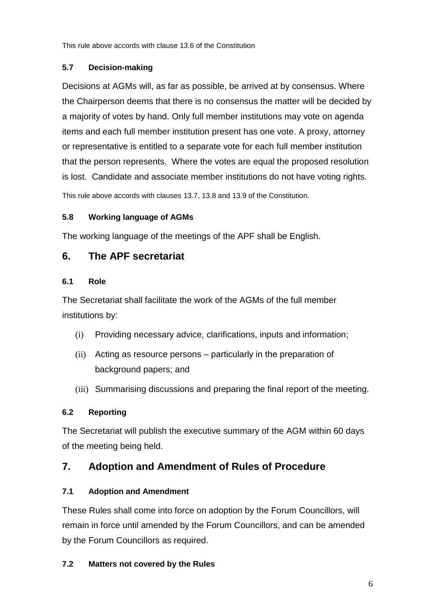This rule above accords with clause 13.6 of the Constitution

#### **5.7 Decision-making**

Decisions at AGMs will, as far as possible, be arrived at by consensus. Where the Chairperson deems that there is no consensus the matter will be decided by a majority of votes by hand. Only full member institutions may vote on agenda items and each full member institution present has one vote. A proxy, attorney or representative is entitled to a separate vote for each full member institution that the person represents. Where the votes are equal the proposed resolution is lost. Candidate and associate member institutions do not have voting rights.

This rule above accords with clauses 13.7, 13.8 and 13.9 of the Constitution.

#### **5.8 Working language of AGMs**

The working language of the meetings of the APF shall be English.

### **6. The APF secretariat**

#### **6.1 Role**

The Secretariat shall facilitate the work of the AGMs of the full member institutions by:

- (i) Providing necessary advice, clarifications, inputs and information;
- (ii) Acting as resource persons particularly in the preparation of background papers; and
- (iii) Summarising discussions and preparing the final report of the meeting.

#### **6.2 Reporting**

The Secretariat will publish the executive summary of the AGM within 60 days of the meeting being held.

# **7. Adoption and Amendment of Rules of Procedure**

#### **7.1 Adoption and Amendment**

These Rules shall come into force on adoption by the Forum Councillors, will remain in force until amended by the Forum Councillors, and can be amended by the Forum Councillors as required.

#### **7.2 Matters not covered by the Rules**